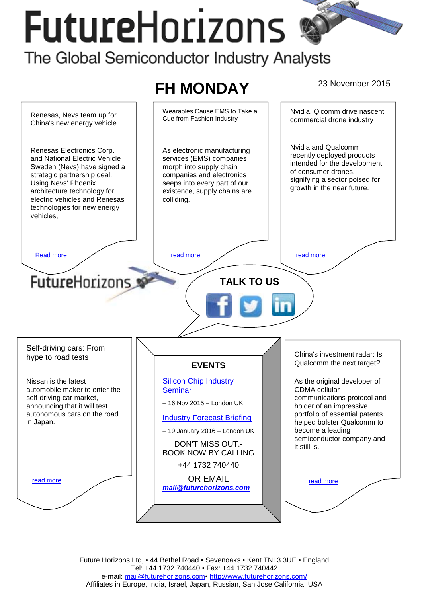# **FutureHorizons** The Global Semiconductor Industry Analysts



Future Horizons Ltd, • 44 Bethel Road • Sevenoaks • Kent TN13 3UE • England Tel: +44 1732 740440 • Fax: +44 1732 740442 e-mail: mail@futurehorizons.com• http://www.futurehorizons.com/ Affiliates in Europe, India, Israel, Japan, Russian, San Jose California, USA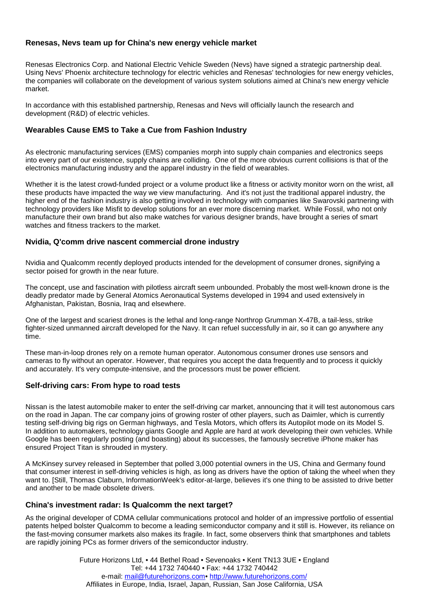## <span id="page-1-0"></span>**Renesas, Nevs team up for China's new energy vehicle market**

Renesas Electronics Corp. and National Electric Vehicle Sweden (Nevs) have signed a strategic partnership deal. Using Nevs' Phoenix architecture technology for electric vehicles and Renesas' technologies for new energy vehicles, the companies will collaborate on the development of various system solutions aimed at China's new energy vehicle market.

In accordance with this established partnership, Renesas and Nevs will officially launch the research and development (R&D) of electric vehicles.

## **Wearables Cause EMS to Take a Cue from Fashion Industry**

As electronic manufacturing services (EMS) companies morph into supply chain companies and electronics seeps into every part of our existence, supply chains are colliding. One of the more obvious current collisions is that of the electronics manufacturing industry and the apparel industry in the field of wearables.

Whether it is the latest crowd-funded project or a volume product like a fitness or activity monitor worn on the wrist, all these products have impacted the way we view manufacturing. And it's not just the traditional apparel industry, the higher end of the fashion industry is also getting involved in technology with companies like Swarovski partnering with technology providers like Misfit to develop solutions for an ever more discerning market. While Fossil, who not only manufacture their own brand but also make watches for various designer brands, have brought a series of smart watches and fitness trackers to the market.

## **Nvidia, Q'comm drive nascent commercial drone industry**

Nvidia and Qualcomm recently deployed products intended for the development of consumer drones, signifying a sector poised for growth in the near future.

The concept, use and fascination with pilotless aircraft seem unbounded. Probably the most well-known drone is the deadly predator made by General Atomics Aeronautical Systems developed in 1994 and used extensively in Afghanistan, Pakistan, Bosnia, Iraq and elsewhere.

One of the largest and scariest drones is the lethal and long-range Northrop Grumman X-47B, a tail-less, strike fighter-sized unmanned aircraft developed for the Navy. It can refuel successfully in air, so it can go anywhere any time.

These man-in-loop drones rely on a remote human operator. Autonomous consumer drones use sensors and cameras to fly without an operator. However, that requires you accept the data frequently and to process it quickly and accurately. It's very compute-intensive, and the processors must be power efficient.

#### **Self-driving cars: From hype to road tests**

Nissan is the latest automobile maker to enter the self-driving car market, announcing that it will test autonomous cars on the road in Japan. The car company joins of growing roster of other players, such as Daimler, which is currently testing self-driving big rigs on German highways, and Tesla Motors, which offers its Autopilot mode on its Model S. In addition to automakers, technology giants Google and Apple are hard at work developing their own vehicles. While Google has been regularly posting (and boasting) about its successes, the famously secretive iPhone maker has ensured Project Titan is shrouded in mystery.

A McKinsey survey released in September that polled 3,000 potential owners in the US, China and Germany found that consumer interest in self-driving vehicles is high, as long as drivers have the option of taking the wheel when they want to. [Still, Thomas Claburn, InformationWeek's editor-at-large, believes it's one thing to be assisted to drive better and another to be made obsolete drivers.

#### **China's investment radar: Is Qualcomm the next target?**

As the original developer of CDMA cellular communications protocol and holder of an impressive portfolio of essential patents helped bolster Qualcomm to become a leading semiconductor company and it still is. However, its reliance on the fast-moving consumer markets also makes its fragile. In fact, some observers think that smartphones and tablets are rapidly joining PCs as former drivers of the semiconductor industry.